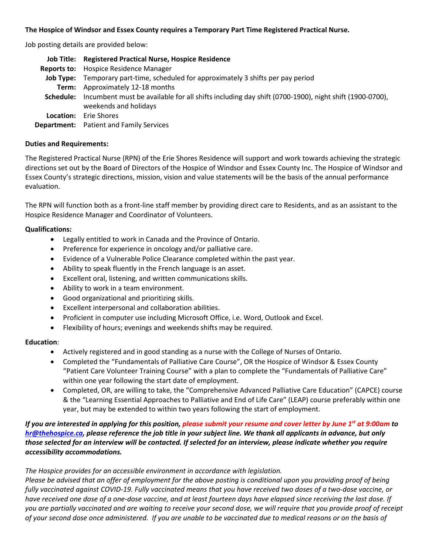## **The Hospice of Windsor and Essex County requires a Temporary Part Time Registered Practical Nurse.**

Job posting details are provided below:

|           | Job Title: Registered Practical Nurse, Hospice Residence                                                                                |
|-----------|-----------------------------------------------------------------------------------------------------------------------------------------|
|           | <b>Reports to:</b> Hospice Residence Manager                                                                                            |
|           | <b>Job Type:</b> Temporary part-time, scheduled for approximately 3 shifts per pay period                                               |
|           | Term: Approximately 12-18 months                                                                                                        |
|           | Schedule: Incumbent must be available for all shifts including day shift (0700-1900), night shift (1900-0700),<br>weekends and holidays |
| Location: | Erie Shores                                                                                                                             |
|           | <b>Department:</b> Patient and Family Services                                                                                          |

### **Duties and Requirements:**

The Registered Practical Nurse (RPN) of the Erie Shores Residence will support and work towards achieving the strategic directions set out by the Board of Directors of the Hospice of Windsor and Essex County Inc. The Hospice of Windsor and Essex County's strategic directions, mission, vision and value statements will be the basis of the annual performance evaluation.

The RPN will function both as a front-line staff member by providing direct care to Residents, and as an assistant to the Hospice Residence Manager and Coordinator of Volunteers.

## **Qualifications:**

- Legally entitled to work in Canada and the Province of Ontario.
- Preference for experience in oncology and/or palliative care.
- Evidence of a Vulnerable Police Clearance completed within the past year.
- Ability to speak fluently in the French language is an asset.
- Excellent oral, listening, and written communications skills.
- Ability to work in a team environment.
- Good organizational and prioritizing skills.
- Excellent interpersonal and collaboration abilities.
- Proficient in computer use including Microsoft Office, i.e. Word, Outlook and Excel.
- Flexibility of hours; evenings and weekends shifts may be required.

## **Education**:

- Actively registered and in good standing as a nurse with the College of Nurses of Ontario.
- Completed the "Fundamentals of Palliative Care Course", OR the Hospice of Windsor & Essex County "Patient Care Volunteer Training Course" with a plan to complete the "Fundamentals of Palliative Care" within one year following the start date of employment.
- Completed, OR, are willing to take, the "Comprehensive Advanced Palliative Care Education" (CAPCE) course & the "Learning Essential Approaches to Palliative and End of Life Care" (LEAP) course preferably within one year, but may be extended to within two years following the start of employment.

# *If you are interested in applying for this position, please submit your resume and cover letter by June 1st at 9:00am to [hr@thehospice.ca,](mailto:hr@thehospice.ca) please reference the job title in your subject line. We thank all applicants in advance, but only those selected for an interview will be contacted. If selected for an interview, please indicate whether you require accessibility accommodations.*

## *The Hospice provides for an accessible environment in accordance with legislation.*

*Please be advised that an offer of employment for the above posting is conditional upon you providing proof of being fully vaccinated against COVID-19. Fully vaccinated means that you have received two doses of a two-dose vaccine, or have received one dose of a one-dose vaccine, and at least fourteen days have elapsed since receiving the last dose. If you are partially vaccinated and are waiting to receive your second dose, we will require that you provide proof of receipt of your second dose once administered. If you are unable to be vaccinated due to medical reasons or on the basis of*